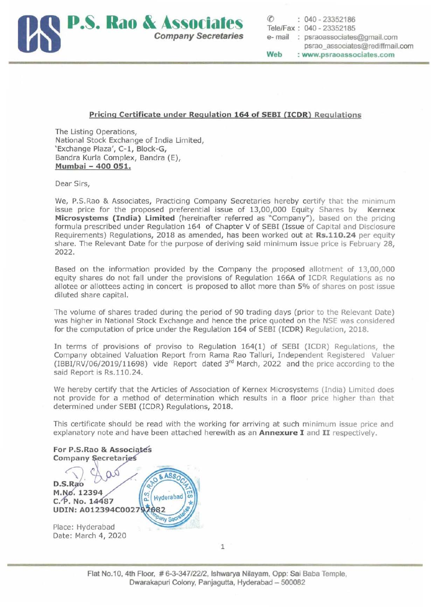

## Pricing Certificate under Regulation 164 of SEBI (ICDR) Regulations

The Listing Operations, National Stock Exchange of India Limited, 'Exchange Plaza', C-l, Block-G, Bandra Kurla Complex, Bandra (E), Mumbai - 400 051.

Dear Sirs,

We, P.S.Rao & Associates, Practicing Company Secretaries hereby certify that the minimum issue price for the proposed preferential issue of 13,00,000 Equity Shares by Kernex Microsystems (India) Limited (hereinafter referred as "Company"), based on the pricing formula prescribed under Regulation 164 of Chapter V of SEBI (Issue of Capital and Disclosure Requirements) Regulations, 2018 as amended, has been worked out at Rs.110.24 per equity share. The Relevant Date for the purpose of deriving said minimum issue price is February 28, 2022.

Based on the information provided by the Company the proposed allotment of 13,00,000 equity shares do not fall under the provisions of Regulation 166A of ICDR Regulations as no allotee or allottees acting in concert is proposed to allot more than 5% of shares on post issue diluted share capital.

The volume of shares traded during the period of 90 trading days (prior to the Relevant Date) was higher in National Stock Exchange and hence the price quoted on the NSE was considered for the computation of price under the Regulation 164 of SEBI (ICDR) Regulation, 2018.

In terms of provisions of proviso to Regulation 164(1) of SEBI (ICDR) Regulations, the Company obtained Valuation Report from Rama Rao Talluri, Independent Registered Valuer (IBBl/RV/06/2019/11698) vide Report dated 3rd March, 2022 and the price according to the said Report is Rs.11O.24.

We hereby certify that the Articles of Association of Kernex Microsystems (India) Limited does not provide for a method of determination which results in a floor price higher than that determined under SEBI (ICDR) Regulations, 2018.

This certificate should be read with the working for arriving at such minimum issue price and explanatory note and have been attached herewith as an **Annexure I** and II respectively.

For P.S.Rao & Associ Company Secretaries

ASSO 8 D.S.Rao<br>M.No. 12394 Hyderabad ö. C. P. No. 14487 UDIN: A012394C002797682 any Sec Place: Hyderabad

1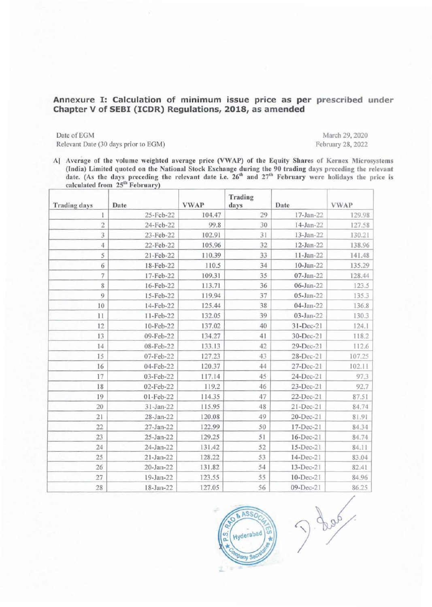## Annexure I: Calculation of minimum issue price as per prescribed under Chapter V of SEBI (ICDR) Regulations, 2018, as amended

Date of EGM March 29, 2020 Relevant Date (30 days prior to EGM) February 28, 2022

A] Average of the volume weighted average price (VWAP) of the Equity Shares of Kernex Microsystems (India) Limited quoted on the National Stock Exchange during the 90 trading days preceding the relevant date. (As the days preceding the relevant date i.e.  $26<sup>th</sup>$  and  $27<sup>th</sup>$  February were holidays the price is calculated from 25<sup>th</sup> February)

| <b>Trading days</b> | Date        | <b>VWAP</b> | Trading<br>days | Date            | <b>VWAP</b> |
|---------------------|-------------|-------------|-----------------|-----------------|-------------|
| 1                   | 25-Feb-22   | 104.47      | 29              | 17-Jan-22       | 129.98      |
| $\overline{c}$      | 24-Feb-22   | 99.8        | 30              | 14-Jan-22       | 127.58      |
| 3                   | 23-Feb-22   | 102.91      | 31              | 13-Jan-22       | 130.21      |
| $\overline{4}$      | 22-Feb-22   | 105.96      | 32              | $12$ -Jan- $22$ | 138.96      |
| 5                   | 21-Feb-22   | 110.39      | 33              | $11 - Jan-22$   | 141.48      |
| 6                   | 18-Feb-22   | 110.5       | 34              | $10 - Jan-22$   | 135.29      |
| $\overline{7}$      | 17-Feb-22   | 109.31      | 35              | $07$ -Jan-22    | 128.44      |
| 8                   | 16-Feb-22   | 113.71      | 36              | 06-Jan-22       | 123.5       |
| 9                   | 15-Feb-22   | 119.94      | 37              | 05-Jan-22       | 135.3       |
| 10                  | 14-Feb-22   | 125.44      | 38              | 04-Jan-22       | 136.8       |
| 11                  | 11-Feb-22   | 132.05      | 39              | 03-Jan-22       | 130.3       |
| 12                  | 10-Feb-22   | 137.02      | 40              | 31-Dec-21       | 124.1       |
| 13                  | 09-Feb-22   | 134.27      | 41              | 30-Dec-21       | 118.2       |
| 14                  | 08-Feb-22   | 133.13      | 42              | 29-Dec-21       | 112.6       |
| 15                  | 07-Feb-22   | 127.23      | 43              | 28-Dec-21       | 107.25      |
| 16                  | 04-Feb-22   | 120.37      | 44              | 27-Dec-21       | 102.11      |
| 17                  | 03-Feb-22   | 117.14      | 45              | 24-Dec-21       | 97.3        |
| 18                  | 02-Feb-22   | 119.2       | 46              | 23-Dec-21       | 92.7        |
| 19                  | 01-Feb-22   | 114.35      | 47              | 22-Dec-21       | 87.51       |
| 20                  | $31-Jan-22$ | 115.95      | 48              | 21-Dec-21       | 84.74       |
| 21                  | 28-Jan-22   | 120.08      | 49              | 20-Dec-21       | 81.91       |
| 22                  | 27-Jan-22   | 122.99      | 50              | 17-Dec-21       | 84.34       |
| 23                  | 25-Jan-22   | 129.25      | 51              | 16-Dec-21       | 84.74       |
| 24                  | 24-Jan-22   | 131.42      | 52              | 15-Dec-21       | 84.11       |
| 25                  | 21-Jan-22   | 128.22      | 53              | 14-Dec-21       | 83.04       |
| 26                  | 20-Jan-22   | 131.82      | 54              | 13-Dec-21       | 82.41       |
| 27                  | 19-Jan-22   | 123.55      | 55              | 10-Dec-21       | 84.96       |
| 28                  | 18-Jan-22   | 127.05      | 56              | 09-Dec-21       | 86.25       |



J. Los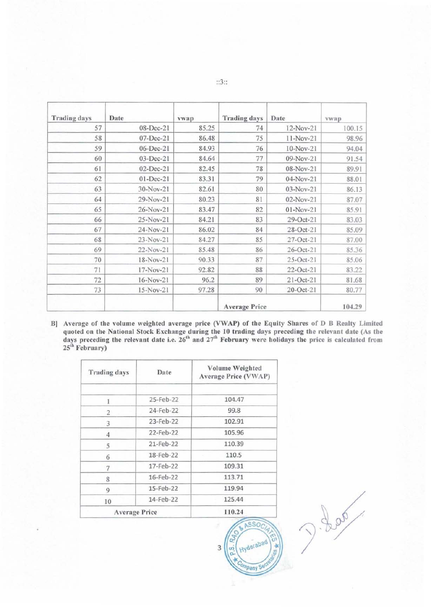| <b>Trading days</b> | Date            | vwap  | <b>Trading days</b>  | Date        | <b>VWap</b> |
|---------------------|-----------------|-------|----------------------|-------------|-------------|
| 57                  | 08-Dec-21       | 85.25 | 74                   | 12-Nov-21   | 100.15      |
| 58                  | 07-Dec-21       | 86.48 | 75                   | 11-Nov-21   | 98.96       |
| 59                  | 06-Dec-21       | 84.93 | 76                   | 10-Nov-21   | 94.04       |
| 60                  | 03-Dec-21       | 84.64 | 77                   | 09-Nov-21   | 91.54       |
| 61                  | 02-Dec-21       | 82.45 | 78                   | 08-Nov-21   | 89.91       |
| 62                  | $01 - Dec - 21$ | 83.31 | 79                   | 04-Nov-21   | 88.01       |
| 63                  | 30-Nov-21       | 82.61 | 80                   | 03-Nov-21   | 86.13       |
| 64                  | 29-Nov-21       | 80.23 | 81                   | 02-Nov-21   | 87.07       |
| 65                  | 26-Nov-21       | 83.47 | 82                   | $01-Nov-21$ | 85.91       |
| 66                  | 25-Nov-21       | 84.21 | 83                   | 29-Oct-21   | 83.03       |
| 67                  | 24-Nov-21       | 86.02 | 84                   | 28-Oct-21   | 85.09       |
| 68                  | 23-Nov-21       | 84.27 | 85                   | 27-Oct-21   | 87.00       |
| 69                  | 22-Nov-21       | 85.48 | 86                   | 26-Oct-21   | 85.36       |
| 70                  | 18-Nov-21       | 90.33 | 87                   | 25-Oct-21   | 85.06       |
| 71                  | 17-Nov-21       | 92.82 | 88                   | 22-Oct-21   | 83.22       |
| 72                  | 16-Nov-21       | 96.2  | 89                   | 21-Oct-21   | 81.68       |
| 73                  | 15-Nov-21       | 97.28 | 90                   | 20-Oct-21   | 80.77       |
|                     |                 |       | <b>Average Price</b> |             | 104.29      |

B] Average of the volume weighted average price (VWAP) of the Equity Shares of D B Realty Limited quoted on the National Stock Exchange during the 10 trading days preceding the relevant date (As the days preceding the rel 25<sup>th</sup> February)

ASSOC

Hyderabad

**Trpany S** 

 $\overline{3}$ 

es<sub>t</sub>

| <b>Trading days</b>  | Date      | Volume Weighted<br>Average Price (VWAP) |  |  |
|----------------------|-----------|-----------------------------------------|--|--|
| 1                    | 25-Feb-22 | 104.47                                  |  |  |
| $\overline{2}$       | 24-Feb-22 | 99.8                                    |  |  |
| 3                    | 23-Feb-22 | 102.91                                  |  |  |
| 4                    | 22-Feb-22 | 105.96                                  |  |  |
| 5                    | 21-Feb-22 | 110.39<br>110.5                         |  |  |
| 6                    | 18-Feb-22 |                                         |  |  |
| 7                    | 17-Feb-22 | 109.31                                  |  |  |
| 8                    | 16-Feb-22 | 113.71                                  |  |  |
| 9                    | 15-Feb-22 | 119.94                                  |  |  |
| 10                   | 14-Feb-22 | 125.44                                  |  |  |
| <b>Average Price</b> |           | 110.24                                  |  |  |

J. Loo

 $::3::$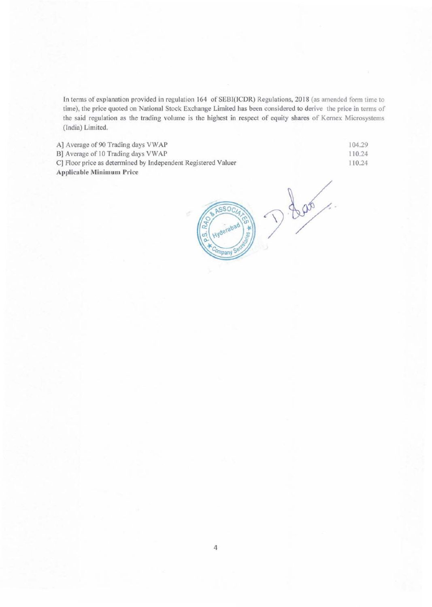In terms of explanation provided in regulation 164 of SEBI(ICDR) Regulations, 2018 (as amended form time to time), the price quoted on National Stock Exchange Limited has been considered to derive the price in terms of the said regulation as the trading volume is the highest in respect of equity shares of Kemex Microsystems (India) Limited.

A] Average of 90 Trading days VWAP

B] Average of 10 Trading days VWAP

C] Floor price as determined by Independent Registered Valuer Applicable Minimum Price

104.29 110.24 110.24

D. Las  $ssoc$ Hyderabad es #

4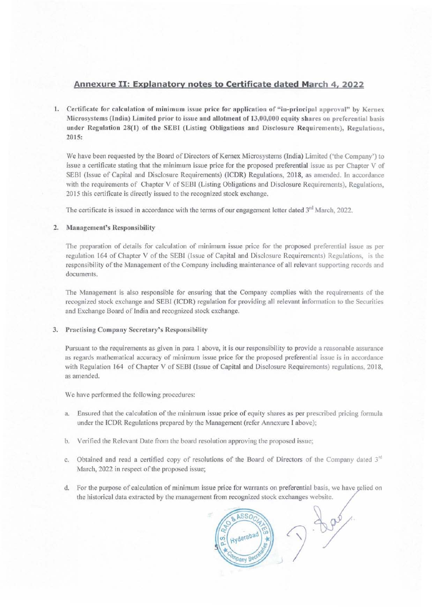# Annexure II: Explanatory notes to Certificate dated March 4, 2022

1. Certificate for calculation of minimum issue price for application of "in-principal approval" by Kernex Microsystems (India) Limited prior to issue and allotment of 13,00,000 equity shares on preferential basis under Regulation 28(1) of the SEBI (Listing Obligations and Disclosure Requirements), Regulations, 2015:

We have been requested by the Board of Directors of Kernex Microsystems (India) Limited ('the Company') to issue a certificate stating that the minimum issue price for the proposed preferential issue as per Chapter V of SEBI (Issue of Capital and Disclosure Requirements) (ICDR) Regulations, 2018, as amended. In accordance with the requirements of Chapter V of SEBI (Listing Obligations and Disclosure Requirements), Regulations, 2015 this certificate is directly issued to the recognized stock exchange.

The certificate is issued in accordance with the terms of our engagement letter dated 3<sup>rd</sup> March, 2022.

#### Management's Responsibility 2.

The preparation of details for calculation of minimum issue price for the proposed preferential issue as per regulation 164 of Chapter V of the SEBI (Issue of Capital and Disclosure Requirements) Regulations, is the responsibility of the Management of the Company including maintenance of all relevant supporting records and documents.

The Management is also responsible for ensuring that the Company complies with the requirements of the recognized stock exchange and SEBI (ICDR) regulation for providing all relevant information to the Securities and Exchange Board of India and recognized stock exchange.

### 3. Practising Company Secretary's Responsibility

Pursuant to the requirements as given in para 1 above, it is our responsibility to provide a reasonable assurance as regards mathematical accuracy of minimum issue price for the proposed preferential issue is in accordance with Regulation 164 of Chapter V of SEBI (Issue of Capital and Disclosure Requirements) regulations, 2018, as amended.

We have performed the following procedures:

- Ensured that the calculation of the minimum issue price of equity shares as per prescribed pricing formula a. under the ICDR Regulations prepared by the Management (refer Annexure I above);
- Verified the Relevant Date from the board resolution approving the proposed issue; b.
- c. Obtained and read a certified copy of resolutions of the Board of Directors of the Company dated 3rd March, 2022 in respect of the proposed issue;
- d. For the purpose of calculation of minimum issue price for warrants on preferential basis, we have relied on the historical data extracted by the management from recognized stock exchanges website.

 $\frac{1}{2}$ ASSO yderabad &